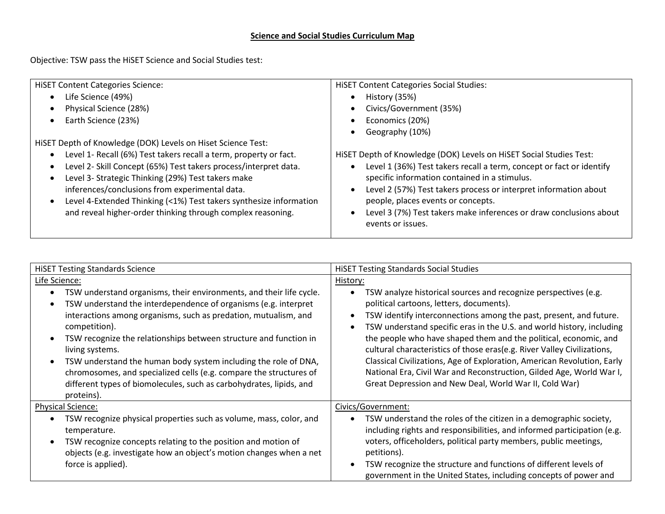## **Science and Social Studies Curriculum Map**

Objective: TSW pass the HiSET Science and Social Studies test:

| <b>HISET Content Categories Science:</b>                           | <b>HiSET Content Categories Social Studies:</b>                      |
|--------------------------------------------------------------------|----------------------------------------------------------------------|
| Life Science (49%)                                                 | History (35%)                                                        |
| Physical Science (28%)                                             | Civics/Government (35%)                                              |
| Earth Science (23%)                                                | Economics (20%)                                                      |
|                                                                    | Geography (10%)                                                      |
| HiSET Depth of Knowledge (DOK) Levels on Hiset Science Test:       |                                                                      |
| Level 1- Recall (6%) Test takers recall a term, property or fact.  | HiSET Depth of Knowledge (DOK) Levels on HiSET Social Studies Test:  |
| Level 2- Skill Concept (65%) Test takers process/interpret data.   | Level 1 (36%) Test takers recall a term, concept or fact or identify |
| Level 3- Strategic Thinking (29%) Test takers make                 | specific information contained in a stimulus.                        |
| inferences/conclusions from experimental data.                     | Level 2 (57%) Test takers process or interpret information about     |
| Level 4-Extended Thinking (<1%) Test takers synthesize information | people, places events or concepts.                                   |
| and reveal higher-order thinking through complex reasoning.        | Level 3 (7%) Test takers make inferences or draw conclusions about   |
|                                                                    | events or issues.                                                    |
|                                                                    |                                                                      |

| <b>HISET Testing Standards Science</b>                                                                                                                                                                                                                                                                                                                                                                                                                                                                                                                                                               | <b>HISET Testing Standards Social Studies</b>                                                                                                                                                                                                                                                                                                                                                                                                                                                                                                                                                                          |
|------------------------------------------------------------------------------------------------------------------------------------------------------------------------------------------------------------------------------------------------------------------------------------------------------------------------------------------------------------------------------------------------------------------------------------------------------------------------------------------------------------------------------------------------------------------------------------------------------|------------------------------------------------------------------------------------------------------------------------------------------------------------------------------------------------------------------------------------------------------------------------------------------------------------------------------------------------------------------------------------------------------------------------------------------------------------------------------------------------------------------------------------------------------------------------------------------------------------------------|
| Life Science:                                                                                                                                                                                                                                                                                                                                                                                                                                                                                                                                                                                        | History:                                                                                                                                                                                                                                                                                                                                                                                                                                                                                                                                                                                                               |
| TSW understand organisms, their environments, and their life cycle.<br>$\bullet$<br>TSW understand the interdependence of organisms (e.g. interpret<br>$\bullet$<br>interactions among organisms, such as predation, mutualism, and<br>competition).<br>TSW recognize the relationships between structure and function in<br>$\bullet$<br>living systems.<br>TSW understand the human body system including the role of DNA,<br>$\bullet$<br>chromosomes, and specialized cells (e.g. compare the structures of<br>different types of biomolecules, such as carbohydrates, lipids, and<br>proteins). | TSW analyze historical sources and recognize perspectives (e.g.<br>political cartoons, letters, documents).<br>TSW identify interconnections among the past, present, and future.<br>TSW understand specific eras in the U.S. and world history, including<br>the people who have shaped them and the political, economic, and<br>cultural characteristics of those eras(e.g. River Valley Civilizations,<br>Classical Civilizations, Age of Exploration, American Revolution, Early<br>National Era, Civil War and Reconstruction, Gilded Age, World War I,<br>Great Depression and New Deal, World War II, Cold War) |
| <b>Physical Science:</b>                                                                                                                                                                                                                                                                                                                                                                                                                                                                                                                                                                             | Civics/Government:                                                                                                                                                                                                                                                                                                                                                                                                                                                                                                                                                                                                     |
| TSW recognize physical properties such as volume, mass, color, and<br>$\bullet$<br>temperature.<br>TSW recognize concepts relating to the position and motion of<br>$\bullet$<br>objects (e.g. investigate how an object's motion changes when a net<br>force is applied).                                                                                                                                                                                                                                                                                                                           | TSW understand the roles of the citizen in a demographic society,<br>including rights and responsibilities, and informed participation (e.g.<br>voters, officeholders, political party members, public meetings,<br>petitions).<br>TSW recognize the structure and functions of different levels of<br>government in the United States, including concepts of power and                                                                                                                                                                                                                                                |